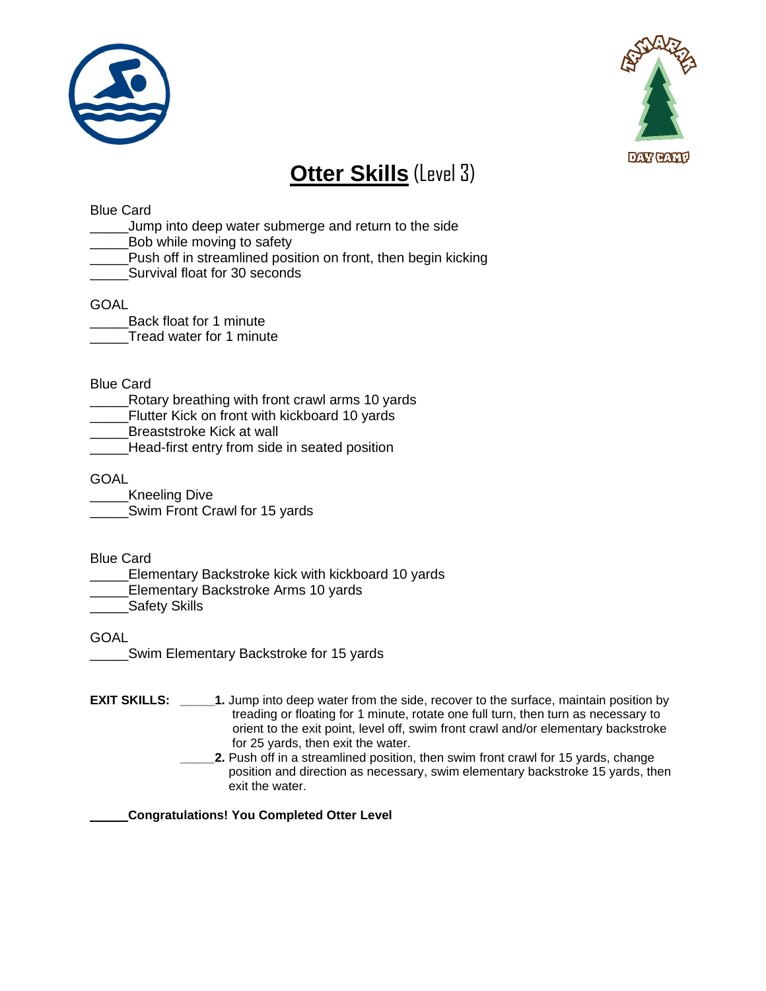



# **Otter Skills** (Level 3)

## Blue Card

- \_\_\_\_\_Jump into deep water submerge and return to the side
- \_\_Bob while moving to safety
- Push off in streamlined position on front, then begin kicking
- Survival float for 30 seconds

## GOAL

\_\_\_\_\_Back float for 1 minute Tread water for 1 minute

### Blue Card

- \_\_\_\_\_Rotary breathing with front crawl arms 10 yards
- Flutter Kick on front with kickboard 10 yards
- Breaststroke Kick at wall
- \_\_\_\_\_Head-first entry from side in seated position

### **GOAL**

\_\_\_\_\_Kneeling Dive Swim Front Crawl for 15 yards

Blue Card

- Elementary Backstroke kick with kickboard 10 yards
- Elementary Backstroke Arms 10 yards

**\_\_\_\_\_Safety Skills** 

GOAL

- \_\_\_\_\_Swim Elementary Backstroke for 15 yards
- **EXIT SKILLS: 1.** Jump into deep water from the side, recover to the surface, maintain position by treading or floating for 1 minute, rotate one full turn, then turn as necessary to orient to the exit point, level off, swim front crawl and/or elementary backstroke for 25 yards, then exit the water.
	- **\_\_\_\_\_2.** Push off in a streamlined position, then swim front crawl for 15 yards, change position and direction as necessary, swim elementary backstroke 15 yards, then exit the water.

\_\_\_\_\_ **Congratulations! You Completed Otter Level**